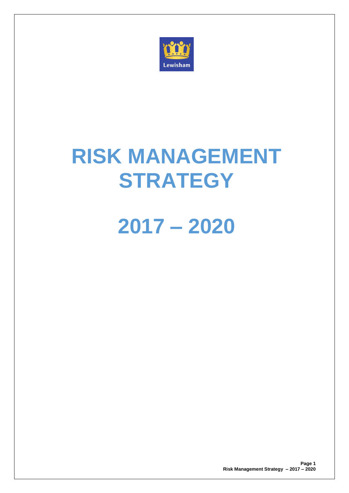

# **RISK MANAGEMENT STRATEGY**

# **2017 – 2020**

**Page 1 Risk Management Strategy – 2017 – 2020**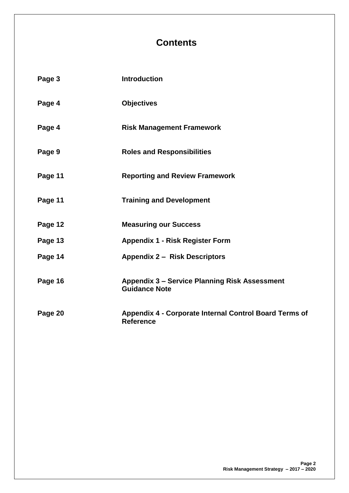# **Contents**

| Page 3  | <b>Introduction</b>                                                          |
|---------|------------------------------------------------------------------------------|
| Page 4  | <b>Objectives</b>                                                            |
| Page 4  | <b>Risk Management Framework</b>                                             |
| Page 9  | <b>Roles and Responsibilities</b>                                            |
| Page 11 | <b>Reporting and Review Framework</b>                                        |
| Page 11 | <b>Training and Development</b>                                              |
| Page 12 | <b>Measuring our Success</b>                                                 |
| Page 13 | <b>Appendix 1 - Risk Register Form</b>                                       |
| Page 14 | <b>Appendix 2 - Risk Descriptors</b>                                         |
| Page 16 | <b>Appendix 3 - Service Planning Risk Assessment</b><br><b>Guidance Note</b> |
| Page 20 | Appendix 4 - Corporate Internal Control Board Terms of<br><b>Reference</b>   |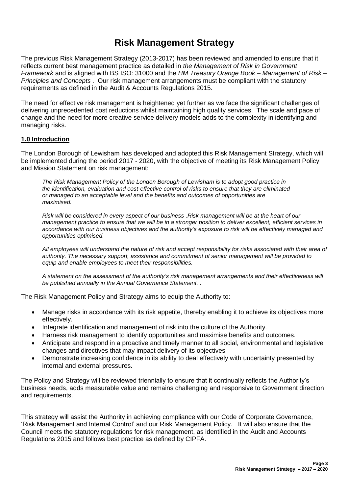# **Risk Management Strategy**

The previous Risk Management Strategy (2013-2017) has been reviewed and amended to ensure that it reflects current best management practice as detailed in *the Management of Risk in Government Framework* and is aligned with BS ISO: 31000 and the *HM Treasury Orange Book – Management of Risk – Principles and Concepts* . Our risk management arrangements must be compliant with the statutory requirements as defined in the Audit & Accounts Regulations 2015.

The need for effective risk management is heightened yet further as we face the significant challenges of delivering unprecedented cost reductions whilst maintaining high quality services. The scale and pace of change and the need for more creative service delivery models adds to the complexity in identifying and managing risks.

#### **1.0 Introduction**

The London Borough of Lewisham has developed and adopted this Risk Management Strategy, which will be implemented during the period 2017 - 2020, with the objective of meeting its Risk Management Policy and Mission Statement on risk management:

*The Risk Management Policy of the London Borough of Lewisham is to adopt good practice in the identification, evaluation and cost-effective control of risks to ensure that they are eliminated or managed to an acceptable level and the benefits and outcomes of opportunities are maximised.*

*Risk will be considered in every aspect of our business .Risk management will be at the heart of our management practice to ensure that we will be in a stronger position to deliver excellent, efficient services in accordance with our business objectives and the authority's exposure to risk will be effectively managed and opportunities optimised.*

*All employees will understand the nature of risk and accept responsibility for risks associated with their area of authority. The necessary support, assistance and commitment of senior management will be provided to equip and enable employees to meet their responsibilities.*

*A statement on the assessment of the authority's risk management arrangements and their effectiveness will be published annually in the Annual Governance Statement. .*

The Risk Management Policy and Strategy aims to equip the Authority to:

- Manage risks in accordance with its risk appetite, thereby enabling it to achieve its objectives more effectively.
- Integrate identification and management of risk into the culture of the Authority.
- Harness risk management to identify opportunities and maximise benefits and outcomes.
- Anticipate and respond in a proactive and timely manner to all social, environmental and legislative changes and directives that may impact delivery of its objectives
- Demonstrate increasing confidence in its ability to deal effectively with uncertainty presented by internal and external pressures.

The Policy and Strategy will be reviewed triennially to ensure that it continually reflects the Authority's business needs, adds measurable value and remains challenging and responsive to Government direction and requirements.

This strategy will assist the Authority in achieving compliance with our Code of Corporate Governance, 'Risk Management and Internal Control' and our Risk Management Policy. It will also ensure that the Council meets the statutory regulations for risk management, as identified in the Audit and Accounts Regulations 2015 and follows best practice as defined by CIPFA.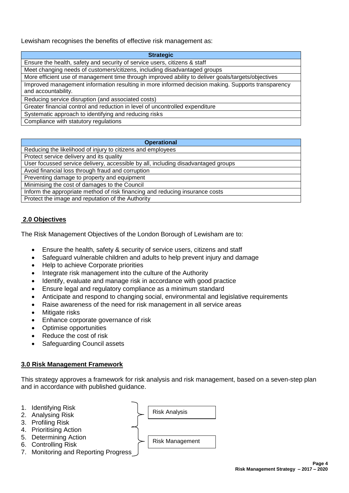Lewisham recognises the benefits of effective risk management as:

| <b>Strategic</b>                                                                                                         |
|--------------------------------------------------------------------------------------------------------------------------|
| Ensure the health, safety and security of service users, citizens & staff                                                |
| Meet changing needs of customers/citizens, including disadvantaged groups                                                |
| More efficient use of management time through improved ability to deliver goals/targets/objectives                       |
| Improved management information resulting in more informed decision making. Supports transparency<br>and accountability. |
| Reducing service disruption (and associated costs)                                                                       |
| Greater financial control and reduction in level of uncontrolled expenditure                                             |
| Systematic approach to identifying and reducing risks                                                                    |
| Compliance with statutory regulations                                                                                    |

| <b>Operational</b>                                                                |
|-----------------------------------------------------------------------------------|
| Reducing the likelihood of injury to citizens and employees                       |
| Protect service delivery and its quality                                          |
| User focussed service delivery, accessible by all, including disadvantaged groups |
| Avoid financial loss through fraud and corruption                                 |
| Preventing damage to property and equipment                                       |
| Minimising the cost of damages to the Council                                     |
| Inform the appropriate method of risk financing and reducing insurance costs      |
| Protect the image and reputation of the Authority                                 |

# **2.0 Objectives**

The Risk Management Objectives of the London Borough of Lewisham are to:

- Ensure the health, safety & security of service users, citizens and staff
- Safeguard vulnerable children and adults to help prevent injury and damage
- Help to achieve Corporate priorities
- Integrate risk management into the culture of the Authority
- Identify, evaluate and manage risk in accordance with good practice
- Ensure legal and regulatory compliance as a minimum standard
- Anticipate and respond to changing social, environmental and legislative requirements
- Raise awareness of the need for risk management in all service areas
- Mitigate risks
- Enhance corporate governance of risk
- Optimise opportunities
- Reduce the cost of risk
- Safeguarding Council assets

#### **3.0 Risk Management Framework**

This strategy approves a framework for risk analysis and risk management, based on a seven-step plan and in accordance with published guidance.

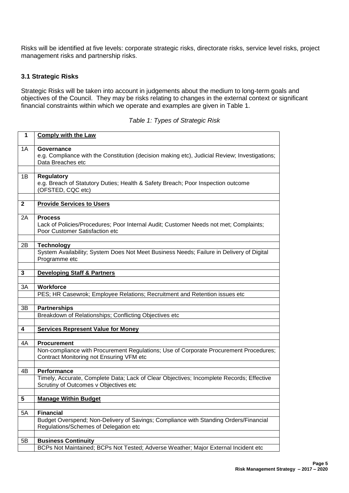Risks will be identified at five levels: corporate strategic risks, directorate risks, service level risks, project management risks and partnership risks.

#### **3.1 Strategic Risks**

Strategic Risks will be taken into account in judgements about the medium to long-term goals and objectives of the Council. They may be risks relating to changes in the external context or significant financial constraints within which we operate and examples are given in Table 1.

| 1            | <b>Comply with the Law</b>                                                                                                                |
|--------------|-------------------------------------------------------------------------------------------------------------------------------------------|
| 1A           | Governance<br>e.g. Compliance with the Constitution (decision making etc), Judicial Review; Investigations;<br>Data Breaches etc          |
|              |                                                                                                                                           |
| 1B           | <b>Regulatory</b><br>e.g. Breach of Statutory Duties; Health & Safety Breach; Poor Inspection outcome<br>(OFSTED, CQC etc)                |
|              |                                                                                                                                           |
| $\mathbf{2}$ | <b>Provide Services to Users</b>                                                                                                          |
| 2Α           | <b>Process</b><br>Lack of Policies/Procedures; Poor Internal Audit; Customer Needs not met; Complaints;<br>Poor Customer Satisfaction etc |
|              |                                                                                                                                           |
| 2B           | <b>Technology</b><br>System Availability; System Does Not Meet Business Needs; Failure in Delivery of Digital<br>Programme etc            |
|              |                                                                                                                                           |
| 3            | <b>Developing Staff &amp; Partners</b>                                                                                                    |
| 3A           | <b>Workforce</b>                                                                                                                          |
|              | PES; HR Casewrok; Employee Relations; Recruitment and Retention issues etc                                                                |
|              |                                                                                                                                           |
| 3B           | <b>Partnerships</b>                                                                                                                       |
|              | Breakdown of Relationships; Conflicting Objectives etc                                                                                    |
|              |                                                                                                                                           |
| 4            | <b>Services Represent Value for Money</b>                                                                                                 |
|              |                                                                                                                                           |
| 4A           | <b>Procurement</b>                                                                                                                        |
|              | Non-compliance with Procurement Regulations; Use of Corporate Procurement Procedures;<br>Contract Monitoring not Ensuring VFM etc         |
|              |                                                                                                                                           |
| 4B           | Performance                                                                                                                               |
|              | Timely, Accurate, Complete Data; Lack of Clear Objectives; Incomplete Records; Effective<br>Scrutiny of Outcomes v Objectives etc         |
|              |                                                                                                                                           |
| 5            | <b>Manage Within Budget</b>                                                                                                               |
| 5A           | <b>Financial</b>                                                                                                                          |
|              | Budget Overspend; Non-Delivery of Savings; Compliance with Standing Orders/Financial                                                      |
|              | Regulations/Schemes of Delegation etc                                                                                                     |
|              |                                                                                                                                           |
| 5B           | <b>Business Continuity</b>                                                                                                                |
|              | BCPs Not Maintained; BCPs Not Tested; Adverse Weather; Major External Incident etc                                                        |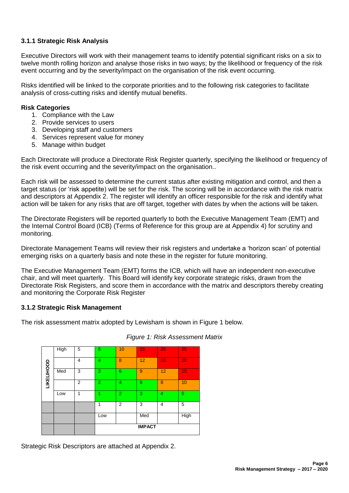# **3.1.1 Strategic Risk Analysis**

Executive Directors will work with their management teams to identify potential significant risks on a six to twelve month rolling horizon and analyse those risks in two ways; by the likelihood or frequency of the risk event occurring and by the severity/impact on the organisation of the risk event occurring.

Risks identified will be linked to the corporate priorities and to the following risk categories to facilitate analysis of cross-cutting risks and identify mutual benefits.

#### **Risk Categories**

- 1. Compliance with the Law
- 2. Provide services to users
- 3. Developing staff and customers
- 4. Services represent value for money
- 5. Manage within budget

Each Directorate will produce a Directorate Risk Register quarterly, specifying the likelihood or frequency of the risk event occurring and the severity/impact on the organisation..

Each risk will be assessed to determine the current status after existing mitigation and control, and then a target status (or 'risk appetite) will be set for the risk. The scoring will be in accordance with the risk matrix and descriptors at Appendix 2. The register will identify an officer responsible for the risk and identify what action will be taken for any risks that are off target, together with dates by when the actions will be taken.

The Directorate Registers will be reported quarterly to both the Executive Management Team (EMT) and the Internal Control Board (ICB) (Terms of Reference for this group are at Appendix 4) for scrutiny and monitoring.

Directorate Management Teams will review their risk registers and undertake a 'horizon scan' of potential emerging risks on a quarterly basis and note these in the register for future monitoring.

The Executive Management Team (EMT) forms the ICB, which will have an independent non-executive chair, and will meet quarterly. This Board will identify key corporate strategic risks, drawn from the Directorate Risk Registers, and score them in accordance with the matrix and descriptors thereby creating and monitoring the Corporate Risk Register

# **3.1.2 Strategic Risk Management**

The risk assessment matrix adopted by Lewisham is shown in Figure 1 below.



#### *Figure 1: Risk Assessment Matrix*

Strategic Risk Descriptors are attached at Appendix 2.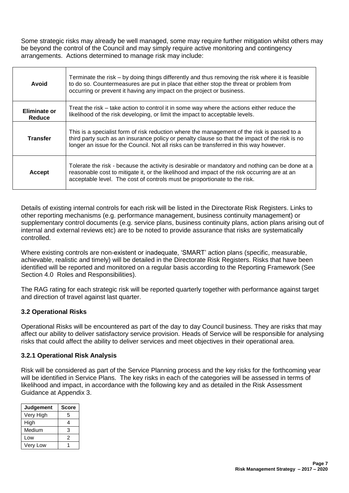Some strategic risks may already be well managed, some may require further mitigation whilst others may be beyond the control of the Council and may simply require active monitoring and contingency arrangements. Actions determined to manage risk may include:

| Avoid                  | Terminate the risk – by doing things differently and thus removing the risk where it is feasible<br>to do so. Countermeasures are put in place that either stop the threat or problem from<br>occurring or prevent it having any impact on the project or business.                     |
|------------------------|-----------------------------------------------------------------------------------------------------------------------------------------------------------------------------------------------------------------------------------------------------------------------------------------|
| Eliminate or<br>Reduce | Treat the risk – take action to control it in some way where the actions either reduce the<br>likelihood of the risk developing, or limit the impact to acceptable levels.                                                                                                              |
| <b>Transfer</b>        | This is a specialist form of risk reduction where the management of the risk is passed to a<br>third party such as an insurance policy or penalty clause so that the impact of the risk is no<br>longer an issue for the Council. Not all risks can be transferred in this way however. |
| <b>Accept</b>          | Tolerate the risk - because the activity is desirable or mandatory and nothing can be done at a<br>reasonable cost to mitigate it, or the likelihood and impact of the risk occurring are at an<br>acceptable level. The cost of controls must be proportionate to the risk.            |

Details of existing internal controls for each risk will be listed in the Directorate Risk Registers. Links to other reporting mechanisms (e.g. performance management, business continuity management) or supplementary control documents (e.g. service plans, business continuity plans, action plans arising out of internal and external reviews etc) are to be noted to provide assurance that risks are systematically controlled.

Where existing controls are non-existent or inadequate, 'SMART' action plans (specific, measurable, achievable, realistic and timely) will be detailed in the Directorate Risk Registers. Risks that have been identified will be reported and monitored on a regular basis according to the Reporting Framework (See Section 4.0 Roles and Responsibilities).

The RAG rating for each strategic risk will be reported quarterly together with performance against target and direction of travel against last quarter.

#### **3.2 Operational Risks**

Operational Risks will be encountered as part of the day to day Council business. They are risks that may affect our ability to deliver satisfactory service provision. Heads of Service will be responsible for analysing risks that could affect the ability to deliver services and meet objectives in their operational area.

#### **3.2.1 Operational Risk Analysis**

Risk will be considered as part of the Service Planning process and the key risks for the forthcoming year will be identified in Service Plans. The key risks in each of the categories will be assessed in terms of likelihood and impact, in accordance with the following key and as detailed in the Risk Assessment Guidance at Appendix 3.

| Judgement | <b>Score</b> |
|-----------|--------------|
| Very High | 5            |
| High      | 4            |
| Medium    | 3            |
| Low       | 2            |
| Very Low  |              |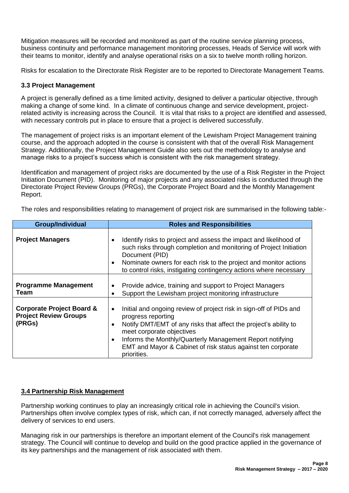Mitigation measures will be recorded and monitored as part of the routine service planning process, business continuity and performance management monitoring processes, Heads of Service will work with their teams to monitor, identify and analyse operational risks on a six to twelve month rolling horizon.

Risks for escalation to the Directorate Risk Register are to be reported to Directorate Management Teams.

#### **3.3 Project Management**

A project is generally defined as a time limited activity, designed to deliver a particular objective, through making a change of some kind. In a climate of continuous change and service development, projectrelated activity is increasing across the Council. It is vital that risks to a project are identified and assessed, with necessary controls put in place to ensure that a project is delivered successfully.

The management of project risks is an important element of the Lewisham Project Management training course, and the approach adopted in the course is consistent with that of the overall Risk Management Strategy. Additionally, the Project Management Guide also sets out the methodology to analyse and manage risks to a project's success which is consistent with the risk management strategy.

Identification and management of project risks are documented by the use of a Risk Register in the Project Initiation Document (PID). Monitoring of major projects and any associated risks is conducted through the Directorate Project Review Groups (PRGs), the Corporate Project Board and the Monthly Management Report.

The roles and responsibilities relating to management of project risk are summarised in the following table:-

| <b>Group/Individual</b>                                                        | <b>Roles and Responsibilities</b>                                                                                                                                                                                                                                                                                                                                            |
|--------------------------------------------------------------------------------|------------------------------------------------------------------------------------------------------------------------------------------------------------------------------------------------------------------------------------------------------------------------------------------------------------------------------------------------------------------------------|
| <b>Project Managers</b>                                                        | Identify risks to project and assess the impact and likelihood of<br>such risks through completion and monitoring of Project Initiation<br>Document (PID)<br>Nominate owners for each risk to the project and monitor actions<br>to control risks, instigating contingency actions where necessary                                                                           |
| <b>Programme Management</b><br>Team                                            | Provide advice, training and support to Project Managers<br>$\bullet$<br>Support the Lewisham project monitoring infrastructure<br>٠                                                                                                                                                                                                                                         |
| <b>Corporate Project Board &amp;</b><br><b>Project Review Groups</b><br>(PRGs) | Initial and ongoing review of project risk in sign-off of PIDs and<br>$\bullet$<br>progress reporting<br>Notify DMT/EMT of any risks that affect the project's ability to<br>$\bullet$<br>meet corporate objectives<br>Informs the Monthly/Quarterly Management Report notifying<br>$\bullet$<br>EMT and Mayor & Cabinet of risk status against ten corporate<br>priorities. |

#### **3.4 Partnership Risk Management**

Partnership working continues to play an increasingly critical role in achieving the Council's vision. Partnerships often involve complex types of risk, which can, if not correctly managed, adversely affect the delivery of services to end users.

Managing risk in our partnerships is therefore an important element of the Council's risk management strategy. The Council will continue to develop and build on the good practice applied in the governance of its key partnerships and the management of risk associated with them.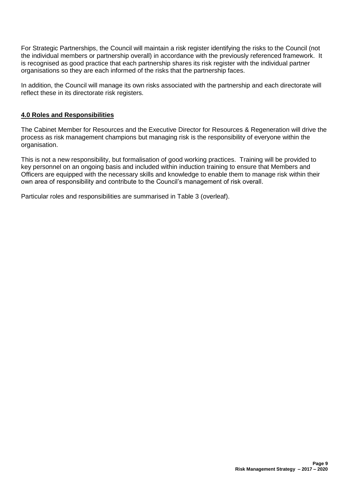For Strategic Partnerships, the Council will maintain a risk register identifying the risks to the Council (not the individual members or partnership overall) in accordance with the previously referenced framework. It is recognised as good practice that each partnership shares its risk register with the individual partner organisations so they are each informed of the risks that the partnership faces.

In addition, the Council will manage its own risks associated with the partnership and each directorate will reflect these in its directorate risk registers.

### **4.0 Roles and Responsibilities**

The Cabinet Member for Resources and the Executive Director for Resources & Regeneration will drive the process as risk management champions but managing risk is the responsibility of everyone within the organisation.

This is not a new responsibility, but formalisation of good working practices. Training will be provided to key personnel on an ongoing basis and included within induction training to ensure that Members and Officers are equipped with the necessary skills and knowledge to enable them to manage risk within their own area of responsibility and contribute to the Council's management of risk overall.

Particular roles and responsibilities are summarised in Table 3 (overleaf).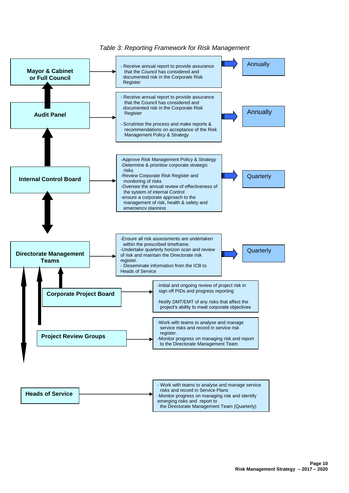

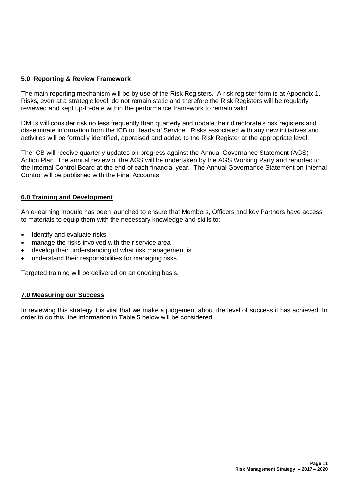# **5.0 Reporting & Review Framework**

The main reporting mechanism will be by use of the Risk Registers. A risk register form is at Appendix 1. Risks, even at a strategic level, do not remain static and therefore the Risk Registers will be regularly reviewed and kept up-to-date within the performance framework to remain valid.

DMTs will consider risk no less frequently than quarterly and update their directorate's risk registers and disseminate information from the ICB to Heads of Service. Risks associated with any new initiatives and activities will be formally identified, appraised and added to the Risk Register at the appropriate level.

The ICB will receive quarterly updates on progress against the Annual Governance Statement (AGS) Action Plan. The annual review of the AGS will be undertaken by the AGS Working Party and reported to the Internal Control Board at the end of each financial year. The Annual Governance Statement on Internal Control will be published with the Final Accounts.

#### **6.0 Training and Development**

An e-learning module has been launched to ensure that Members, Officers and key Partners have access to materials to equip them with the necessary knowledge and skills to:

- Identify and evaluate risks
- manage the risks involved with their service area
- develop their understanding of what risk management is
- understand their responsibilities for managing risks.

Targeted training will be delivered on an ongoing basis.

#### **7.0 Measuring our Success**

In reviewing this strategy it is vital that we make a judgement about the level of success it has achieved. In order to do this, the information in Table 5 below will be considered.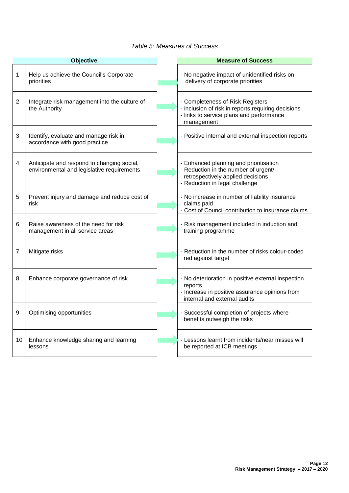#### *Table 5: Measures of Success*

|                | <b>Objective</b>                                                                         | <b>Measure of Success</b>                                                                                                                             |
|----------------|------------------------------------------------------------------------------------------|-------------------------------------------------------------------------------------------------------------------------------------------------------|
| 1              | Help us achieve the Council's Corporate<br>priorities                                    | - No negative impact of unidentified risks on<br>delivery of corporate priorities                                                                     |
| $\overline{2}$ | Integrate risk management into the culture of<br>the Authority                           | - Completeness of Risk Registers<br>- inclusion of risk in reports requiring decisions<br>- links to service plans and performance<br>management      |
| 3              | Identify, evaluate and manage risk in<br>accordance with good practice                   | - Positive internal and external inspection reports                                                                                                   |
| 4              | Anticipate and respond to changing social,<br>environmental and legislative requirements | - Enhanced planning and prioritisation<br>- Reduction in the number of urgent/<br>retrospectively applied decisions<br>- Reduction in legal challenge |
| 5              | Prevent injury and damage and reduce cost of<br>risk                                     | - No increase in number of liability insurance<br>claims paid<br>- Cost of Council contribution to insurance claims                                   |
| 6              | Raise awareness of the need for risk<br>management in all service areas                  | - Risk management included in induction and<br>training programme                                                                                     |
| 7              | Mitigate risks                                                                           | - Reduction in the number of risks colour-coded<br>red against target                                                                                 |
| 8              | Enhance corporate governance of risk                                                     | - No deterioration in positive external inspection<br>reports<br>- Increase in positive assurance opinions from<br>internal and external audits       |
| 9              | Optimising opportunities                                                                 | - Successful completion of projects where<br>benefits outweigh the risks                                                                              |
| 10             | Enhance knowledge sharing and learning<br>lessons                                        | Lessons learnt from incidents/near misses will<br>be reported at ICB meetings                                                                         |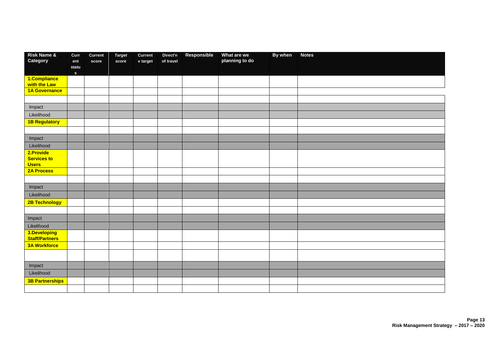| <b>Risk Name &amp;</b>             | Curr                  | Current | <b>Target</b> | Current  | Direct'n  | Responsible | What are we    | By when | <b>Notes</b> |
|------------------------------------|-----------------------|---------|---------------|----------|-----------|-------------|----------------|---------|--------------|
| Category                           | ent                   | score   | score         | v target | of travel |             | planning to do |         |              |
|                                    | statu<br>$\mathbf{s}$ |         |               |          |           |             |                |         |              |
| 1.Compliance                       |                       |         |               |          |           |             |                |         |              |
| with the Law                       |                       |         |               |          |           |             |                |         |              |
| 1A Governance                      |                       |         |               |          |           |             |                |         |              |
|                                    |                       |         |               |          |           |             |                |         |              |
| Impact                             |                       |         |               |          |           |             |                |         |              |
| Likelihood                         |                       |         |               |          |           |             |                |         |              |
| <b>1B Regulatory</b>               |                       |         |               |          |           |             |                |         |              |
|                                    |                       |         |               |          |           |             |                |         |              |
| Impact                             |                       |         |               |          |           |             |                |         |              |
| Likelihood                         |                       |         |               |          |           |             |                |         |              |
| 2.Provide                          |                       |         |               |          |           |             |                |         |              |
| <b>Services to</b><br><b>Users</b> |                       |         |               |          |           |             |                |         |              |
| <b>2A Process</b>                  |                       |         |               |          |           |             |                |         |              |
|                                    |                       |         |               |          |           |             |                |         |              |
| Impact                             |                       |         |               |          |           |             |                |         |              |
| Likelihood                         |                       |         |               |          |           |             |                |         |              |
| 2B Technology                      |                       |         |               |          |           |             |                |         |              |
|                                    |                       |         |               |          |           |             |                |         |              |
| Impact                             |                       |         |               |          |           |             |                |         |              |
| Likelihood                         |                       |         |               |          |           |             |                |         |              |
| 3.Developing                       |                       |         |               |          |           |             |                |         |              |
| <b>Staff/Partners</b>              |                       |         |               |          |           |             |                |         |              |
| <b>3A Workforce</b>                |                       |         |               |          |           |             |                |         |              |
|                                    |                       |         |               |          |           |             |                |         |              |
| Impact                             |                       |         |               |          |           |             |                |         |              |
| Likelihood                         |                       |         |               |          |           |             |                |         |              |
| <b>3B Partnerships</b>             |                       |         |               |          |           |             |                |         |              |
|                                    |                       |         |               |          |           |             |                |         |              |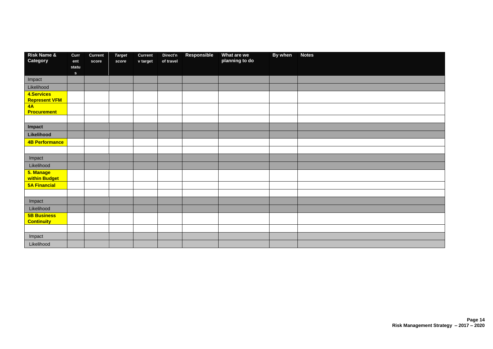| <b>Risk Name &amp;</b>     | Curr       | Current | <b>Target</b> | Current  | Direct'n  | Responsible | What are we    | By when | <b>Notes</b> |
|----------------------------|------------|---------|---------------|----------|-----------|-------------|----------------|---------|--------------|
| Category                   | ent        | score   | score         | v target | of travel |             | planning to do |         |              |
|                            | statu<br>S |         |               |          |           |             |                |         |              |
| Impact                     |            |         |               |          |           |             |                |         |              |
| Likelihood                 |            |         |               |          |           |             |                |         |              |
| 4.Services                 |            |         |               |          |           |             |                |         |              |
| <b>Represent VFM</b>       |            |         |               |          |           |             |                |         |              |
| 4A<br><b>Procurement</b>   |            |         |               |          |           |             |                |         |              |
|                            |            |         |               |          |           |             |                |         |              |
| Impact                     |            |         |               |          |           |             |                |         |              |
| Likelihood                 |            |         |               |          |           |             |                |         |              |
| <b>4B Performance</b>      |            |         |               |          |           |             |                |         |              |
|                            |            |         |               |          |           |             |                |         |              |
| Impact                     |            |         |               |          |           |             |                |         |              |
| Likelihood                 |            |         |               |          |           |             |                |         |              |
| 5. Manage<br>within Budget |            |         |               |          |           |             |                |         |              |
| <b>5A Financial</b>        |            |         |               |          |           |             |                |         |              |
|                            |            |         |               |          |           |             |                |         |              |
| Impact                     |            |         |               |          |           |             |                |         |              |
| Likelihood                 |            |         |               |          |           |             |                |         |              |
| <b>5B Business</b>         |            |         |               |          |           |             |                |         |              |
| <b>Continuity</b>          |            |         |               |          |           |             |                |         |              |
|                            |            |         |               |          |           |             |                |         |              |
| Impact                     |            |         |               |          |           |             |                |         |              |
| Likelihood                 |            |         |               |          |           |             |                |         |              |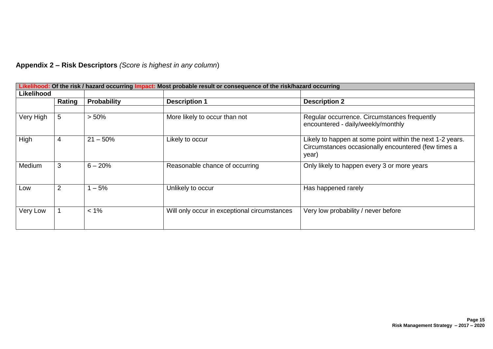| Likelihood: Of the risk / hazard occurring Impact: Most probable result or consequence of the risk/hazard occurring |                |             |                                              |                                                                                                                           |  |  |  |  |
|---------------------------------------------------------------------------------------------------------------------|----------------|-------------|----------------------------------------------|---------------------------------------------------------------------------------------------------------------------------|--|--|--|--|
| Likelihood                                                                                                          |                |             |                                              |                                                                                                                           |  |  |  |  |
|                                                                                                                     | Rating         | Probability | <b>Description 1</b>                         | <b>Description 2</b>                                                                                                      |  |  |  |  |
|                                                                                                                     |                |             |                                              |                                                                                                                           |  |  |  |  |
| Very High                                                                                                           | 5              | > 50%       | More likely to occur than not                | Regular occurrence. Circumstances frequently<br>encountered - daily/weekly/monthly                                        |  |  |  |  |
| High                                                                                                                | 4              | $21 - 50%$  | Likely to occur                              | Likely to happen at some point within the next 1-2 years.<br>Circumstances occasionally encountered (few times a<br>year) |  |  |  |  |
| Medium                                                                                                              | 3              | $6 - 20%$   | Reasonable chance of occurring               | Only likely to happen every 3 or more years                                                                               |  |  |  |  |
| Low                                                                                                                 | $\overline{2}$ | $-5%$       | Unlikely to occur                            | Has happened rarely                                                                                                       |  |  |  |  |
| Very Low                                                                                                            |                | $< 1\%$     | Will only occur in exceptional circumstances | Very low probability / never before                                                                                       |  |  |  |  |

**Appendix 2 – Risk Descriptors** *(Score is highest in any column*)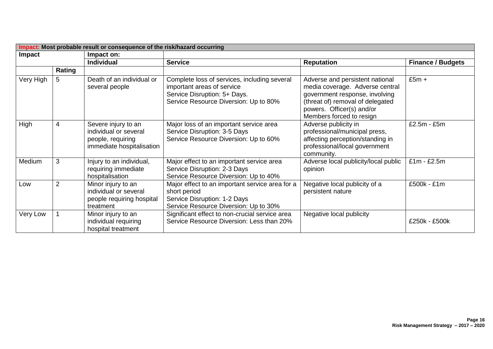| Impact: Most probable result or consequence of the risk/hazard occurring |                |                                                                                                |                                                                                                                                                     |                                                                                                                                                                                                   |                          |  |  |  |
|--------------------------------------------------------------------------|----------------|------------------------------------------------------------------------------------------------|-----------------------------------------------------------------------------------------------------------------------------------------------------|---------------------------------------------------------------------------------------------------------------------------------------------------------------------------------------------------|--------------------------|--|--|--|
| Impact                                                                   |                | Impact on:                                                                                     |                                                                                                                                                     |                                                                                                                                                                                                   |                          |  |  |  |
|                                                                          |                | <b>Individual</b>                                                                              | <b>Service</b>                                                                                                                                      | <b>Reputation</b>                                                                                                                                                                                 | <b>Finance / Budgets</b> |  |  |  |
|                                                                          | Rating         |                                                                                                |                                                                                                                                                     |                                                                                                                                                                                                   |                          |  |  |  |
| Very High                                                                | 5              | Death of an individual or<br>several people                                                    | Complete loss of services, including several<br>important areas of service<br>Service Disruption: 5+ Days.<br>Service Resource Diversion: Up to 80% | Adverse and persistent national<br>media coverage. Adverse central<br>government response, involving<br>(threat of) removal of delegated<br>powers. Officer(s) and/or<br>Members forced to resign | $£5m +$                  |  |  |  |
| High                                                                     | 4              | Severe injury to an<br>individual or several<br>people, requiring<br>immediate hospitalisation | Major loss of an important service area<br>Service Disruption: 3-5 Days<br>Service Resource Diversion: Up to 60%                                    | Adverse publicity in<br>professional/municipal press,<br>affecting perception/standing in<br>professional/local government<br>community.                                                          | £2.5m - £5m              |  |  |  |
| Medium                                                                   | 3              | Injury to an individual,<br>requiring immediate<br>hospitalisation                             | Major effect to an important service area<br>Service Disruption: 2-3 Days<br>Service Resource Diversion: Up to 40%                                  | Adverse local publicity/local public<br>opinion                                                                                                                                                   | $£1m - £2.5m$            |  |  |  |
| Low                                                                      | $\overline{2}$ | Minor injury to an<br>individual or several<br>people requiring hospital<br>treatment          | Major effect to an important service area for a<br>short period<br>Service Disruption: 1-2 Days<br>Service Resource Diversion: Up to 30%            | Negative local publicity of a<br>persistent nature                                                                                                                                                | £500k - £1m              |  |  |  |
| Very Low                                                                 |                | Minor injury to an<br>individual requiring<br>hospital treatment                               | Significant effect to non-crucial service area<br>Service Resource Diversion: Less than 20%                                                         | Negative local publicity                                                                                                                                                                          | £250k - £500k            |  |  |  |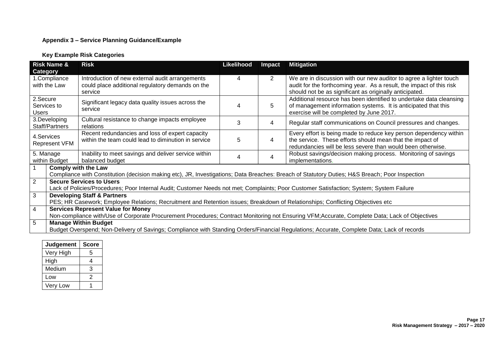#### **Appendix 3 – Service Planning Guidance/Example**

#### **Key Example Risk Categories**

|                 | <b>Risk Name &amp;</b>                                                                                                                         | <b>Risk</b>                                          | Likelihood | Impact         | <b>Mitigation</b>                                                    |  |  |
|-----------------|------------------------------------------------------------------------------------------------------------------------------------------------|------------------------------------------------------|------------|----------------|----------------------------------------------------------------------|--|--|
| <b>Category</b> |                                                                                                                                                |                                                      |            |                |                                                                      |  |  |
| 1.Compliance    |                                                                                                                                                | Introduction of new external audit arrangements      | 4          | $\overline{2}$ | We are in discussion with our new auditor to agree a lighter touch   |  |  |
| with the Law    |                                                                                                                                                | could place additional regulatory demands on the     |            |                | audit for the forthcoming year. As a result, the impact of this risk |  |  |
|                 |                                                                                                                                                | service                                              |            |                | should not be as significant as originally anticipated.              |  |  |
| 2.Secure        |                                                                                                                                                |                                                      |            |                | Additional resource has been identified to undertake data cleansing  |  |  |
| Services to     |                                                                                                                                                | Significant legacy data quality issues across the    | 4          | 5              | of management information systems. It is anticipated that this       |  |  |
| <b>Users</b>    |                                                                                                                                                | service                                              |            |                | exercise will be completed by June 2017.                             |  |  |
| 3.Developing    |                                                                                                                                                | Cultural resistance to change impacts employee       |            |                |                                                                      |  |  |
| Staff/Partners  |                                                                                                                                                | relations                                            | 3          | 4              | Regular staff communications on Council pressures and changes.       |  |  |
|                 |                                                                                                                                                | Recent redundancies and loss of expert capacity      | 5          | 4              | Every effort is being made to reduce key person dependency within    |  |  |
| 4. Services     |                                                                                                                                                | within the team could lead to diminution in service  |            |                | the service. These efforts should mean that the impact of            |  |  |
| Represent VFM   |                                                                                                                                                |                                                      |            |                | redundancies will be less severe than would been otherwise.          |  |  |
| 5. Manage       |                                                                                                                                                | Inability to meet savings and deliver service within |            |                | Robust savings/decision making process. Monitoring of savings        |  |  |
| within Budget   |                                                                                                                                                | balanced budget                                      | 4          | 4              | implementations.                                                     |  |  |
| $\overline{1}$  | <b>Comply with the Law</b>                                                                                                                     |                                                      |            |                |                                                                      |  |  |
|                 | Compliance with Constitution (decision making etc), JR, Investigations; Data Breaches: Breach of Statutory Duties; H&S Breach; Poor Inspection |                                                      |            |                |                                                                      |  |  |
| $\overline{2}$  | <b>Secure Services to Users</b>                                                                                                                |                                                      |            |                |                                                                      |  |  |
|                 | Lack of Policies/Procedures; Poor Internal Audit; Customer Needs not met; Complaints; Poor Customer Satisfaction; System; System Failure       |                                                      |            |                |                                                                      |  |  |
| $\mathbf{3}$    | <b>Developing Staff &amp; Partners</b>                                                                                                         |                                                      |            |                |                                                                      |  |  |
|                 | PES; HR Casework; Employee Relations; Recruitment and Retention issues; Breakdown of Relationships; Conflicting Objectives etc                 |                                                      |            |                |                                                                      |  |  |
| $\overline{4}$  | <b>Services Represent Value for Money</b>                                                                                                      |                                                      |            |                |                                                                      |  |  |
|                 | Non-compliance with/Use of Corporate Procurement Procedures; Contract Monitoring not Ensuring VFM;Accurate, Complete Data; Lack of Objectives  |                                                      |            |                |                                                                      |  |  |
| $5\overline{5}$ | <b>Manage Within Budget</b>                                                                                                                    |                                                      |            |                |                                                                      |  |  |
|                 | Budget Overspend; Non-Delivery of Savings; Compliance with Standing Orders/Financial Regulations; Accurate, Complete Data; Lack of records     |                                                      |            |                |                                                                      |  |  |

| Judgement | <b>Score</b> |
|-----------|--------------|
| Very High | 5            |
| High      | 4            |
| Medium    | 3            |
| Low       | 2            |
| Very Low  |              |